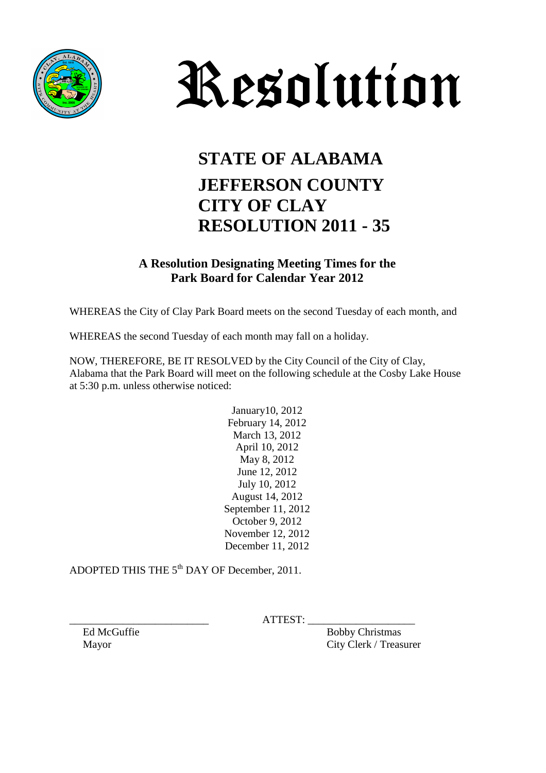



## **STATE OF ALABAMA JEFFERSON COUNTY CITY OF CLAY RESOLUTION 2011 - 35**

## **A Resolution Designating Meeting Times for the Park Board for Calendar Year 2012**

WHEREAS the City of Clay Park Board meets on the second Tuesday of each month, and

WHEREAS the second Tuesday of each month may fall on a holiday.

NOW, THEREFORE, BE IT RESOLVED by the City Council of the City of Clay, Alabama that the Park Board will meet on the following schedule at the Cosby Lake House at 5:30 p.m. unless otherwise noticed:

> January10, 2012 February 14, 2012 March 13, 2012 April 10, 2012 May 8, 2012 June 12, 2012 July 10, 2012 August 14, 2012 September 11, 2012 October 9, 2012 November 12, 2012 December 11, 2012

ADOPTED THIS THE 5th DAY OF December, 2011.

 $ATTEST:$ 

Ed McGuffie Bobby Christmas Mayor City Clerk / Treasurer